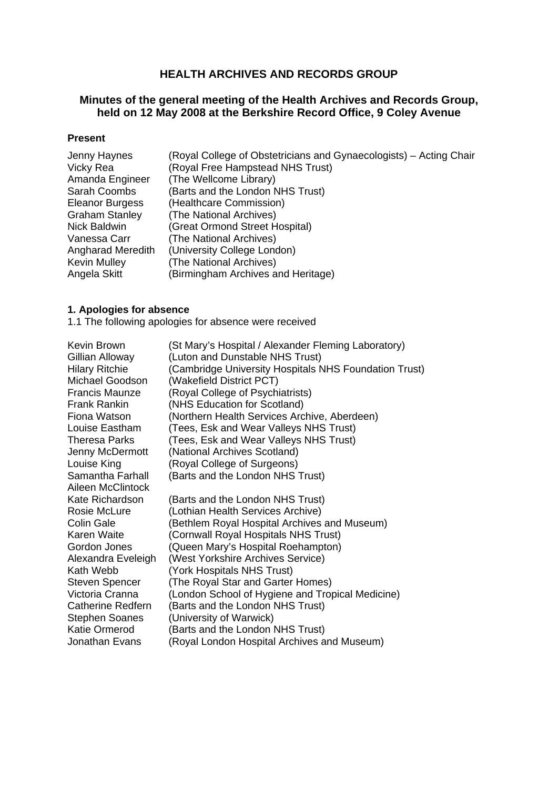# **HEALTH ARCHIVES AND RECORDS GROUP**

### **Minutes of the general meeting of the Health Archives and Records Group, held on 12 May 2008 at the Berkshire Record Office, 9 Coley Avenue**

#### **Present**

| (Royal College of Obstetricians and Gynaecologists) - Acting Chair |
|--------------------------------------------------------------------|
| (Royal Free Hampstead NHS Trust)                                   |
| (The Wellcome Library)                                             |
| (Barts and the London NHS Trust)                                   |
| (Healthcare Commission)                                            |
| (The National Archives)                                            |
| (Great Ormond Street Hospital)                                     |
| (The National Archives)                                            |
| (University College London)                                        |
| (The National Archives)                                            |
| (Birmingham Archives and Heritage)                                 |
|                                                                    |

#### **1. Apologies for absence**

1.1 The following apologies for absence were received

| Kevin Brown              | (St Mary's Hospital / Alexander Fleming Laboratory)   |
|--------------------------|-------------------------------------------------------|
| Gillian Alloway          | (Luton and Dunstable NHS Trust)                       |
| <b>Hilary Ritchie</b>    | (Cambridge University Hospitals NHS Foundation Trust) |
| Michael Goodson          | (Wakefield District PCT)                              |
| <b>Francis Maunze</b>    | (Royal College of Psychiatrists)                      |
| <b>Frank Rankin</b>      | (NHS Education for Scotland)                          |
| Fiona Watson             | (Northern Health Services Archive, Aberdeen)          |
| Louise Eastham           | (Tees, Esk and Wear Valleys NHS Trust)                |
| <b>Theresa Parks</b>     | (Tees, Esk and Wear Valleys NHS Trust)                |
| Jenny McDermott          | (National Archives Scotland)                          |
| Louise King              | (Royal College of Surgeons)                           |
| Samantha Farhall         | (Barts and the London NHS Trust)                      |
| Aileen McClintock        |                                                       |
| Kate Richardson          | (Barts and the London NHS Trust)                      |
| Rosie McLure             | (Lothian Health Services Archive)                     |
| <b>Colin Gale</b>        | (Bethlem Royal Hospital Archives and Museum)          |
| Karen Waite              | (Cornwall Royal Hospitals NHS Trust)                  |
| Gordon Jones             | (Queen Mary's Hospital Roehampton)                    |
| Alexandra Eveleigh       | (West Yorkshire Archives Service)                     |
| Kath Webb                | (York Hospitals NHS Trust)                            |
| <b>Steven Spencer</b>    | (The Royal Star and Garter Homes)                     |
| Victoria Cranna          | (London School of Hygiene and Tropical Medicine)      |
| <b>Catherine Redfern</b> | (Barts and the London NHS Trust)                      |
| <b>Stephen Soanes</b>    | (University of Warwick)                               |
| Katie Ormerod            | (Barts and the London NHS Trust)                      |
| Jonathan Evans           | (Royal London Hospital Archives and Museum)           |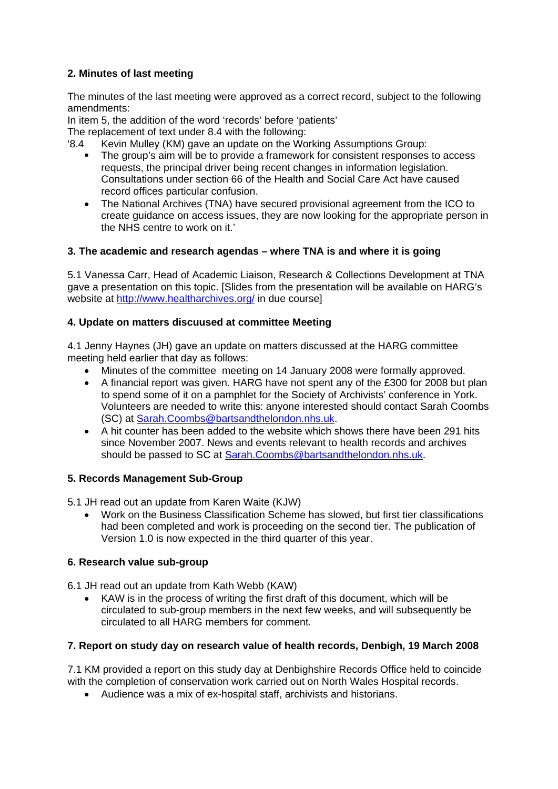## **2. Minutes of last meeting**

The minutes of the last meeting were approved as a correct record, subject to the following amendments:

In item 5, the addition of the word 'records' before 'patients'

The replacement of text under 8.4 with the following:

- '8.4 Kevin Mulley (KM) gave an update on the Working Assumptions Group:
	- The group's aim will be to provide a framework for consistent responses to access requests, the principal driver being recent changes in information legislation. Consultations under section 66 of the Health and Social Care Act have caused record offices particular confusion.
	- The National Archives (TNA) have secured provisional agreement from the ICO to create guidance on access issues, they are now looking for the appropriate person in the NHS centre to work on it.'

### **3. The academic and research agendas – where TNA is and where it is going**

5.1 Vanessa Carr, Head of Academic Liaison, Research & Collections Development at TNA gave a presentation on this topic. [Slides from the presentation will be available on HARG's website at [http://www.healtharchives.org/](http://www.healtharchives.org%3C/) in due course]

### **4. Update on matters discuused at committee Meeting**

4.1 Jenny Haynes (JH) gave an update on matters discussed at the HARG committee meeting held earlier that day as follows:

- Minutes of the committee meeting on 14 January 2008 were formally approved.
- A financial report was given. HARG have not spent any of the £300 for 2008 but plan to spend some of it on a pamphlet for the Society of Archivists' conference in York. Volunteers are needed to write this: anyone interested should contact Sarah Coombs (SC) at [Sarah.Coombs@bartsandthelondon.nhs.uk](mailto:Sarah.Coombs@bartsandthelondon.nhs.uk).
- A hit counter has been added to the website which shows there have been 291 hits since November 2007. News and events relevant to health records and archives should be passed to SC at [Sarah.Coombs@bartsandthelondon.nhs.uk](mailto:Sarah.Coombs@bartsandthelondon.nhs.uk).

### **5. Records Management Sub-Group**

5.1 JH read out an update from Karen Waite (KJW)

• Work on the Business Classification Scheme has slowed, but first tier classifications had been completed and work is proceeding on the second tier. The publication of Version 1.0 is now expected in the third quarter of this year.

### **6. Research value sub-group**

6.1 JH read out an update from Kath Webb (KAW)

KAW is in the process of writing the first draft of this document, which will be circulated to sub-group members in the next few weeks, and will subsequently be circulated to all HARG members for comment.

### **7. Report on study day on research value of health records, Denbigh, 19 March 2008**

7.1 KM provided a report on this study day at Denbighshire Records Office held to coincide with the completion of conservation work carried out on North Wales Hospital records.

• Audience was a mix of ex-hospital staff, archivists and historians.